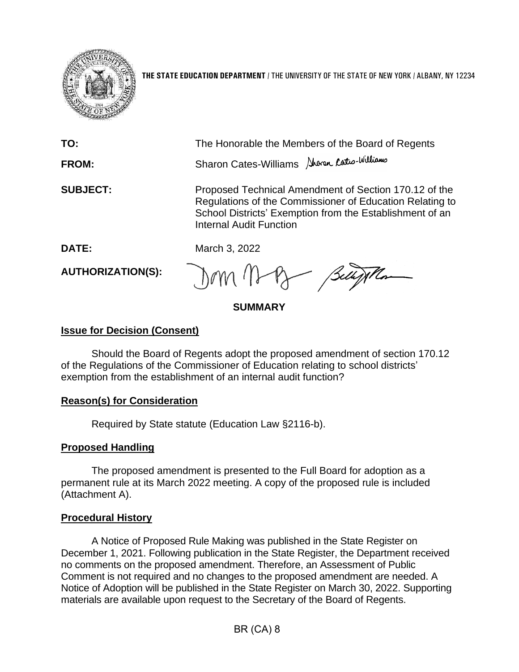

**THE STATE EDUCATION DEPARTMENT** / THE UNIVERSITY OF THE STATE OF NEW YORK / ALBANY, NY 12234

| TO:<br><b>FROM:</b>      | The Honorable the Members of the Board of Regents<br>Sharon Cates-Williams Aboren Cates-Williams                                                                                                                |
|--------------------------|-----------------------------------------------------------------------------------------------------------------------------------------------------------------------------------------------------------------|
| <b>SUBJECT:</b>          | Proposed Technical Amendment of Section 170.12 of the<br>Regulations of the Commissioner of Education Relating to<br>School Districts' Exemption from the Establishment of an<br><b>Internal Audit Function</b> |
| <b>DATE:</b>             | March 3, 2022                                                                                                                                                                                                   |
| <b>AUTHORIZATION(S):</b> | Dom May Buyth                                                                                                                                                                                                   |

**SUMMARY**

# **Issue for Decision (Consent)**

Should the Board of Regents adopt the proposed amendment of section 170.12 of the Regulations of the Commissioner of Education relating to school districts' exemption from the establishment of an internal audit function?

# **Reason(s) for Consideration**

Required by State statute (Education Law §2116-b).

# **Proposed Handling**

The proposed amendment is presented to the Full Board for adoption as a permanent rule at its March 2022 meeting. A copy of the proposed rule is included (Attachment A).

# **Procedural History**

A Notice of Proposed Rule Making was published in the State Register on December 1, 2021. Following publication in the State Register, the Department received no comments on the proposed amendment. Therefore, an Assessment of Public Comment is not required and no changes to the proposed amendment are needed. A Notice of Adoption will be published in the State Register on March 30, 2022. Supporting materials are available upon request to the Secretary of the Board of Regents.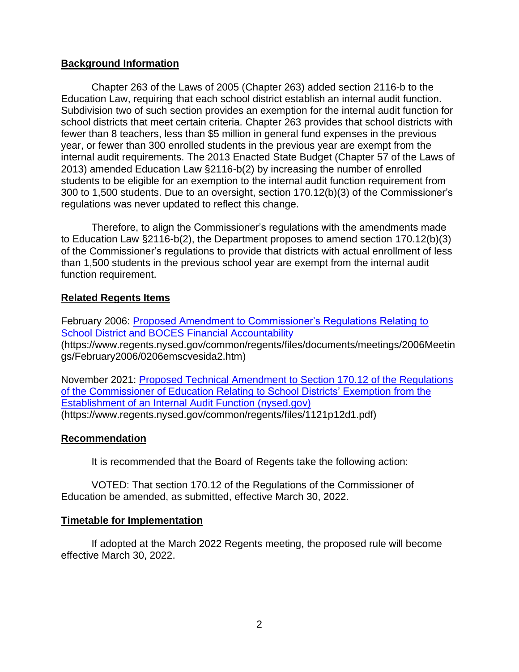### **Background Information**

Chapter 263 of the Laws of 2005 (Chapter 263) added section 2116-b to the Education Law, requiring that each school district establish an internal audit function. Subdivision two of such section provides an exemption for the internal audit function for school districts that meet certain criteria. Chapter 263 provides that school districts with fewer than 8 teachers, less than \$5 million in general fund expenses in the previous year, or fewer than 300 enrolled students in the previous year are exempt from the internal audit requirements. The 2013 Enacted State Budget (Chapter 57 of the Laws of 2013) amended Education Law §2116-b(2) by increasing the number of enrolled students to be eligible for an exemption to the internal audit function requirement from 300 to 1,500 students. Due to an oversight, section 170.12(b)(3) of the Commissioner's regulations was never updated to reflect this change.

Therefore, to align the Commissioner's regulations with the amendments made to Education Law §2116-b(2), the Department proposes to amend section 170.12(b)(3) of the Commissioner's regulations to provide that districts with actual enrollment of less than 1,500 students in the previous school year are exempt from the internal audit function requirement.

### **Related Regents Items**

February 2006: [Proposed Amendment to Commissioner's Regulations Relating to](https://www.regents.nysed.gov/common/regents/files/documents/meetings/2006Meetings/February2006/0206emscvesida2.htm)  [School District and BOCES Financial Accountability](https://www.regents.nysed.gov/common/regents/files/documents/meetings/2006Meetings/February2006/0206emscvesida2.htm) (https://www.regents.nysed.gov/common/regents/files/documents/meetings/2006Meetin gs/February2006/0206emscvesida2.htm)

November 2021: [Proposed Technical Amendment to Section 170.12 of the Regulations](https://www.regents.nysed.gov/common/regents/files/1121p12d1.pdf) [of the Commissioner of Education Relating to School Districts' Exemption from the](https://www.regents.nysed.gov/common/regents/files/1121p12d1.pdf)  [Establishment of an Internal Audit Function \(nysed.gov\)](https://www.regents.nysed.gov/common/regents/files/1121p12d1.pdf) (https://www.regents.nysed.gov/common/regents/files/1121p12d1.pdf)

### **Recommendation**

It is recommended that the Board of Regents take the following action:

VOTED: That section 170.12 of the Regulations of the Commissioner of Education be amended, as submitted, effective March 30, 2022.

### **Timetable for Implementation**

If adopted at the March 2022 Regents meeting, the proposed rule will become effective March 30, 2022.